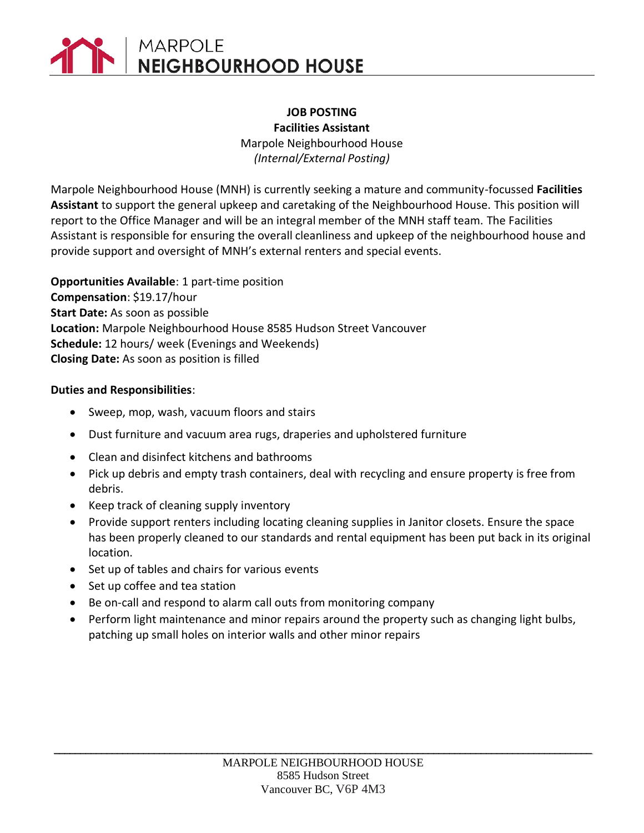# **MARPOLE NEIGHBOURHOOD HOUSE**

#### **JOB POSTING Facilities Assistant**

Marpole Neighbourhood House *(Internal/External Posting)*

Marpole Neighbourhood House (MNH) is currently seeking a mature and community-focussed **Facilities Assistant** to support the general upkeep and caretaking of the Neighbourhood House. This position will report to the Office Manager and will be an integral member of the MNH staff team. The Facilities Assistant is responsible for ensuring the overall cleanliness and upkeep of the neighbourhood house and provide support and oversight of MNH's external renters and special events.

**Opportunities Available**: 1 part-time position **Compensation**: \$19.17/hour **Start Date:** As soon as possible **Location:** Marpole Neighbourhood House 8585 Hudson Street Vancouver **Schedule:** 12 hours/ week (Evenings and Weekends) **Closing Date:** As soon as position is filled

#### **Duties and Responsibilities**:

- Sweep, mop, wash, vacuum floors and stairs
- Dust furniture and vacuum area rugs, draperies and upholstered furniture
- Clean and disinfect kitchens and bathrooms
- Pick up debris and empty trash containers, deal with recycling and ensure property is free from debris.
- Keep track of cleaning supply inventory
- Provide support renters including locating cleaning supplies in Janitor closets. Ensure the space has been properly cleaned to our standards and rental equipment has been put back in its original location.
- Set up of tables and chairs for various events
- Set up coffee and tea station
- Be on-call and respond to alarm call outs from monitoring company
- Perform light maintenance and minor repairs around the property such as changing light bulbs, patching up small holes on interior walls and other minor repairs

**\_\_\_\_\_\_\_\_\_\_\_\_\_\_\_\_\_\_\_\_\_\_\_\_\_\_\_\_\_\_\_\_\_\_\_\_\_\_\_\_\_\_\_\_\_\_\_\_\_\_\_\_\_\_\_\_\_\_\_\_\_\_\_\_\_\_\_\_\_\_\_\_\_\_\_\_\_\_\_\_\_\_\_\_\_\_\_\_\_\_\_\_\_\_\_\_\_\_\_\_\_\_**